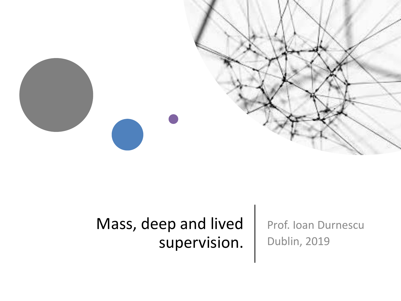

#### Mass, deep and lived supervision.

Prof. Ioan Durnescu Dublin, 2019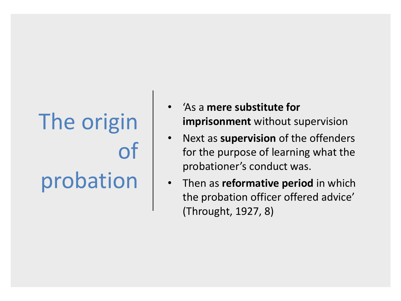# The origin of probation

- 'As a **mere substitute for imprisonment** without supervision
- Next as **supervision** of the offenders for the purpose of learning what the probationer's conduct was.
- Then as **reformative period** in which the probation officer offered advice' (Throught, 1927, 8)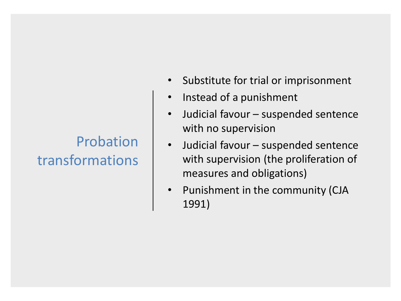#### Probation transformations

- Substitute for trial or imprisonment
- Instead of a punishment
- Judicial favour suspended sentence with no supervision
- Judicial favour suspended sentence with supervision (the proliferation of measures and obligations)
- Punishment in the community (CJA 1991)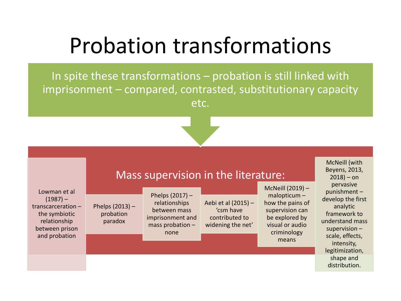### Probation transformations

In spite these transformations – probation is still linked with imprisonment – compared, contrasted, substitutionary capacity etc.



#### Mass supervision in the literature:

Lowman et al  $(1987)$  – transcarceration – the symbiotic relationship between prison and probation

Phelps (2013) – probation paradox

Phelps (2017) – relationships between mass imprisonment and mass probation – none

Aebi et al (2015) – 'csm have contributed to widening the net'

McNeill (2019) – malopticum – how the pains of supervision can be explored by visual or audio criminology means

McNeill (with Beyens, 2013,  $2018$ ) – on pervasive punishment – develop the first analytic framework to understand mass supervision – scale, effects, intensity, legitimization, shape and distribution.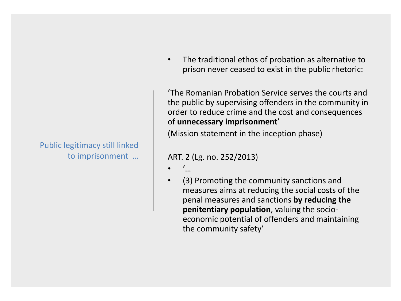#### Public legitimacy still linked to imprisonment …

• The traditional ethos of probation as alternative to prison never ceased to exist in the public rhetoric:

'The Romanian Probation Service serves the courts and the public by supervising offenders in the community in order to reduce crime and the cost and consequences of **unnecessary imprisonment**'

(Mission statement in the inception phase)

#### ART. 2 (Lg. no. 252/2013)

- '…
- (3) Promoting the community sanctions and measures aims at reducing the social costs of the penal measures and sanctions **by reducing the penitentiary population**, valuing the socioeconomic potential of offenders and maintaining the community safety'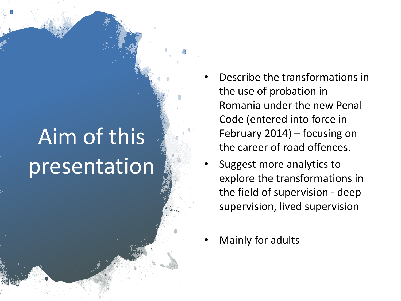# Aim of this presentation

- Describe the transformations in the use of probation in Romania under the new Penal Code (entered into force in February 2014) – focusing on the career of road offences.
- Suggest more analytics to explore the transformations in the field of supervision - deep supervision, lived supervision
- Mainly for adults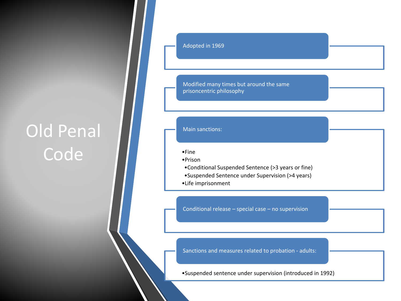#### Old Penal **Code**

Adopted in 1969

Modified many times but around the same prisoncentric philosophy

#### Main sanctions:

•Fine

- •Prison
- •Conditional Suspended Sentence (>3 years or fine)
- •Suspended Sentence under Supervision (>4 years)
- •Life imprisonment

Conditional release – special case – no supervision

Sanctions and measures related to probation - adults:

•Suspended sentence under supervision (introduced in 1992)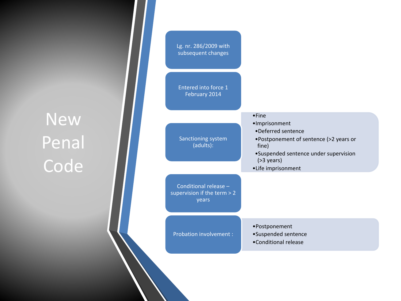#### New Penal **Code**

| Lg. nr. 286/2009 with<br>subsequent changes                     |                                                                                                                                                                        |
|-----------------------------------------------------------------|------------------------------------------------------------------------------------------------------------------------------------------------------------------------|
| Entered into force 1<br>February 2014                           |                                                                                                                                                                        |
|                                                                 | $•$ Fine                                                                                                                                                               |
| Sanctioning system<br>(adults):                                 | ·Imprisonment<br>•Deferred sentence<br>•Postponement of sentence (>2 years or<br>fine)<br>•Suspended sentence under supervision<br>$( >3$ years)<br>•Life imprisonment |
| Conditional release -<br>supervision if the term $> 2$<br>years |                                                                                                                                                                        |
| <b>Probation involvement:</b>                                   | •Postponement<br>•Suspended sentence<br>•Conditional release                                                                                                           |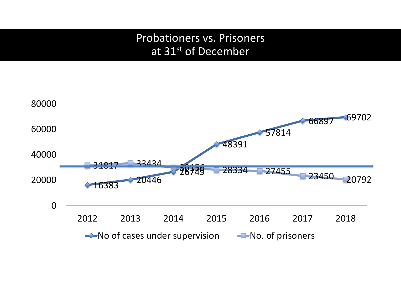#### Probationers vs. Prisoners at 31st of December

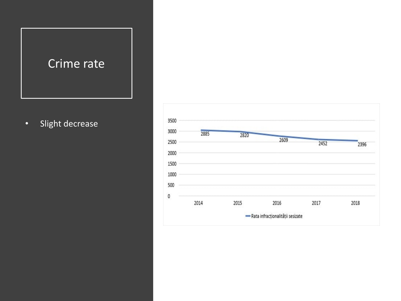

• Slight decrease

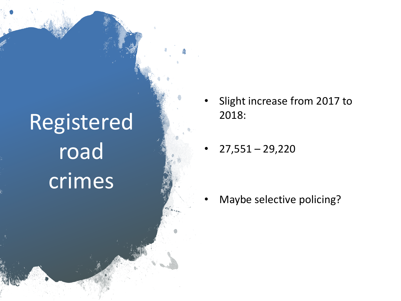# Registered road crimes

- Slight increase from 2017 to 2018:
- $27,551 29,220$

• Maybe selective policing?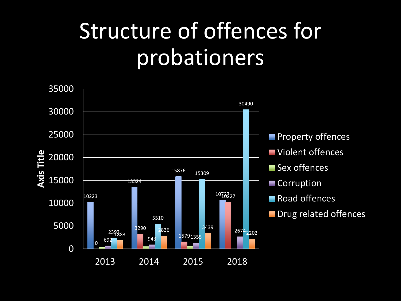## Structure of offences for probationers

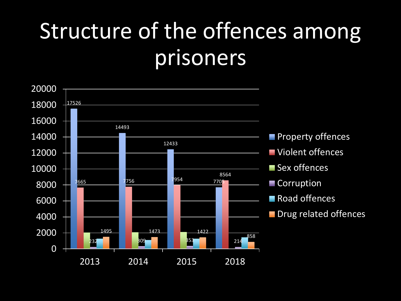## Structure of the offences among prisoners

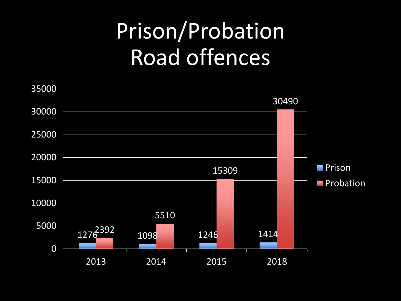## Prison/Probation Road offences

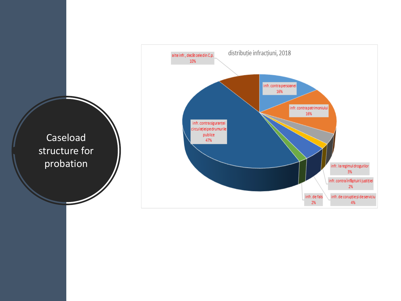

Caseload structure for probation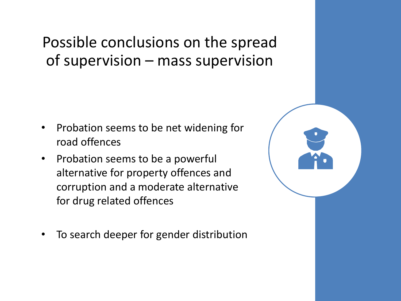Possible conclusions on the spread of supervision – mass supervision

- Probation seems to be net widening for road offences
- Probation seems to be a powerful alternative for property offences and corruption and a moderate alternative for drug related offences
- To search deeper for gender distribution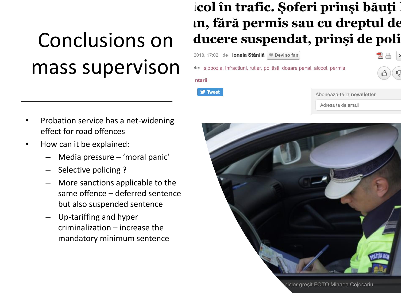## Conclusions on mass supervison

#### col în trafic. Șoferi prinși băuți l in, fără permis sau cu dreptul de ducere suspendat, prinși de poli

2018, 17:02 de lonela Stănilă Devino fan

le: slobozia, infractiuni, rutier, politisti, dosare penal, alcool, permis

**V** Tweet

|  | Aboneaza-te la newsletter |
|--|---------------------------|
|  |                           |

Adresa ta de emai

昌

- Probation service has a net-widening effect for road offences
- How can it be explained:
	- Media pressure 'moral panic'
	- Selective policing?
	- More sanctions applicable to the same offence – deferred sentence but also suspended sentence
	- Up-tariffing and hyper criminalization – increase the mandatory minimum sentence

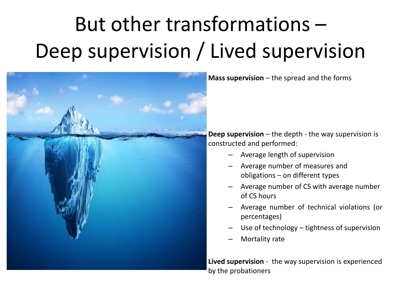## But other transformations – Deep supervision / Lived supervision



**Mass supervision** – the spread and the forms

**Deep supervision** – the depth - the way supervision is constructed and performed:

- Average length of supervision
- Average number of measures and obligations – on different types
- Average number of CS with average number of CS hours
- Average number of technical violations (or percentages)
- Use of technology tightness of supervision
- Mortality rate

**Lived supervision** - the way supervision is experienced by the probationers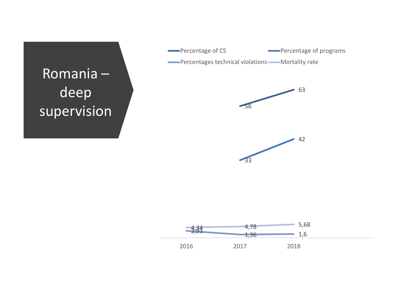

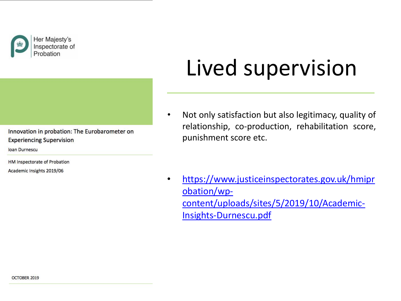

Inspectorate of

#### Innovation in probation: The Eurobarometer on **Experiencing Supervision**

loan Durnescu

HM Inspectorate of Probation

Academic Insights 2019/06

# Lived supervision

• Not only satisfaction but also legitimacy, quality of relationship, co-production, rehabilitation score, punishment score etc.

• [https://www.justiceinspectorates.gov.uk/hmipr](https://www.justiceinspectorates.gov.uk/hmiprobation/wp-content/uploads/sites/5/2019/10/Academic-Insights-Durnescu.pdf) obation/wpcontent/uploads/sites/5/2019/10/Academic-Insights-Durnescu.pdf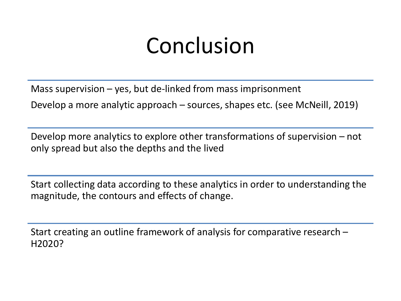## Conclusion

Mass supervision  $-$  yes, but de-linked from mass imprisonment

Develop a more analytic approach – sources, shapes etc. (see McNeill, 2019)

Develop more analytics to explore other transformations of supervision – not only spread but also the depths and the lived

Start collecting data according to these analytics in order to understanding the magnitude, the contours and effects of change.

Start creating an outline framework of analysis for comparative research – H2020?